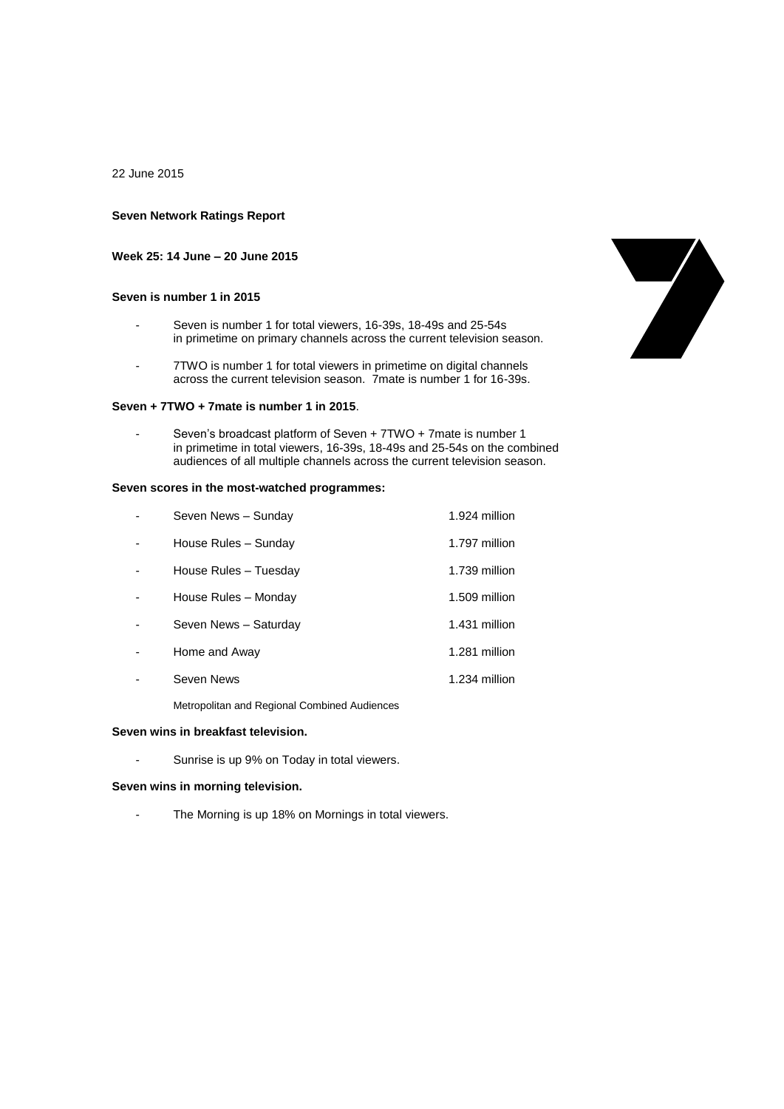22 June 2015

### **Seven Network Ratings Report**

**Week 25: 14 June – 20 June 2015**

# **Seven is number 1 in 2015**

- Seven is number 1 for total viewers, 16-39s, 18-49s and 25-54s in primetime on primary channels across the current television season.
- 7TWO is number 1 for total viewers in primetime on digital channels across the current television season. 7mate is number 1 for 16-39s.

#### **Seven + 7TWO + 7mate is number 1 in 2015**.

Seven's broadcast platform of Seven + 7TWO + 7mate is number 1 in primetime in total viewers, 16-39s, 18-49s and 25-54s on the combined audiences of all multiple channels across the current television season.

### **Seven scores in the most-watched programmes:**

| Seven News - Sunday   | 1.924 million |
|-----------------------|---------------|
| House Rules - Sunday  | 1.797 million |
| House Rules - Tuesday | 1.739 million |
| House Rules - Monday  | 1.509 million |
| Seven News - Saturday | 1.431 million |
| Home and Away         | 1.281 million |
| Seven News            | 1.234 million |

Metropolitan and Regional Combined Audiences

#### **Seven wins in breakfast television.**

Sunrise is up 9% on Today in total viewers.

#### **Seven wins in morning television.**

- The Morning is up 18% on Mornings in total viewers.

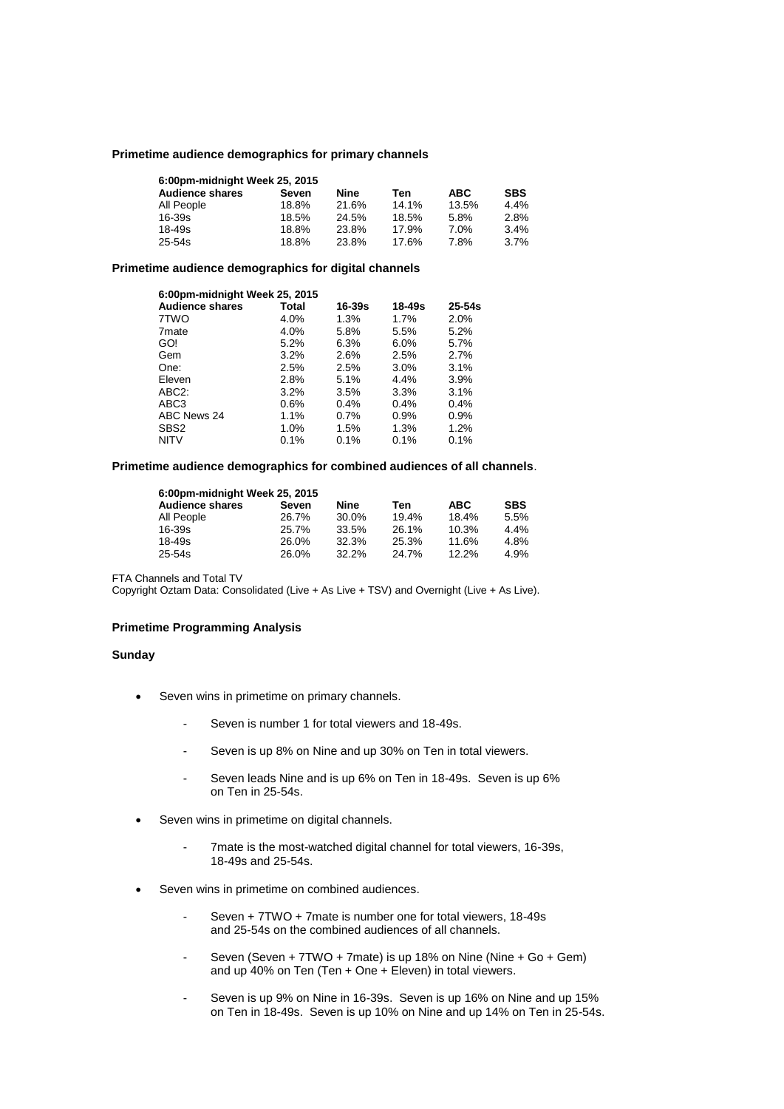## **Primetime audience demographics for primary channels**

| 6:00pm-midnight Week 25, 2015 |       |       |       |       |            |
|-------------------------------|-------|-------|-------|-------|------------|
| <b>Audience shares</b>        | Seven | Nine  | Ten   | ABC.  | <b>SBS</b> |
| All People                    | 18.8% | 21.6% | 14.1% | 13.5% | 4.4%       |
| $16 - 39s$                    | 18.5% | 24.5% | 18.5% | 5.8%  | 2.8%       |
| $18 - 49s$                    | 18.8% | 23.8% | 17.9% | 7.0%  | 3.4%       |
| $25 - 54s$                    | 18.8% | 23.8% | 17.6% | 7.8%  | 3.7%       |

#### **Primetime audience demographics for digital channels**

| 6:00pm-midnight Week 25, 2015 |         |         |        |            |  |  |
|-------------------------------|---------|---------|--------|------------|--|--|
| <b>Audience shares</b>        | Total   | 16-39s  | 18-49s | $25 - 54s$ |  |  |
| 7TWO                          | 4.0%    | 1.3%    | 1.7%   | 2.0%       |  |  |
| 7 <sub>mate</sub>             | 4.0%    | 5.8%    | 5.5%   | 5.2%       |  |  |
| GO!                           | 5.2%    | 6.3%    | 6.0%   | 5.7%       |  |  |
| Gem                           | 3.2%    | 2.6%    | 2.5%   | 2.7%       |  |  |
| One:                          | 2.5%    | 2.5%    | 3.0%   | 3.1%       |  |  |
| Eleven                        | 2.8%    | 5.1%    | 4.4%   | 3.9%       |  |  |
| ABC <sub>2</sub> :            | 3.2%    | 3.5%    | 3.3%   | 3.1%       |  |  |
| ABC3                          | $0.6\%$ | $0.4\%$ | 0.4%   | 0.4%       |  |  |
| ABC News 24                   | 1.1%    | $0.7\%$ | 0.9%   | 0.9%       |  |  |
| SBS <sub>2</sub>              | 1.0%    | 1.5%    | 1.3%   | 1.2%       |  |  |
| <b>NITV</b>                   | 0.1%    | 0.1%    | 0.1%   | 0.1%       |  |  |

### **Primetime audience demographics for combined audiences of all channels**.

| 6:00pm-midnight Week 25, 2015 |       |       |       |            |            |  |
|-------------------------------|-------|-------|-------|------------|------------|--|
| <b>Audience shares</b>        | Seven | Nine  | Ten   | <b>ABC</b> | <b>SBS</b> |  |
| All People                    | 26.7% | 30.0% | 19.4% | 18.4%      | 5.5%       |  |
| $16 - 39s$                    | 25.7% | 33.5% | 26.1% | 10.3%      | 4.4%       |  |
| $18 - 49s$                    | 26.0% | 32.3% | 25.3% | 11.6%      | 4.8%       |  |
| 25-54s                        | 26.0% | 32.2% | 24.7% | $12.2\%$   | 4.9%       |  |

FTA Channels and Total TV

Copyright Oztam Data: Consolidated (Live + As Live + TSV) and Overnight (Live + As Live).

#### **Primetime Programming Analysis**

## **Sunday**

- Seven wins in primetime on primary channels.
	- Seven is number 1 for total viewers and 18-49s.
	- Seven is up 8% on Nine and up 30% on Ten in total viewers.
	- Seven leads Nine and is up 6% on Ten in 18-49s. Seven is up 6% on Ten in 25-54s.
- Seven wins in primetime on digital channels.
	- 7mate is the most-watched digital channel for total viewers, 16-39s, 18-49s and 25-54s.
- Seven wins in primetime on combined audiences.
	- Seven + 7TWO + 7mate is number one for total viewers, 18-49s and 25-54s on the combined audiences of all channels.
	- Seven (Seven + 7TWO + 7mate) is up 18% on Nine (Nine + Go + Gem) and up 40% on Ten (Ten + One + Eleven) in total viewers.
	- Seven is up 9% on Nine in 16-39s. Seven is up 16% on Nine and up 15% on Ten in 18-49s. Seven is up 10% on Nine and up 14% on Ten in 25-54s.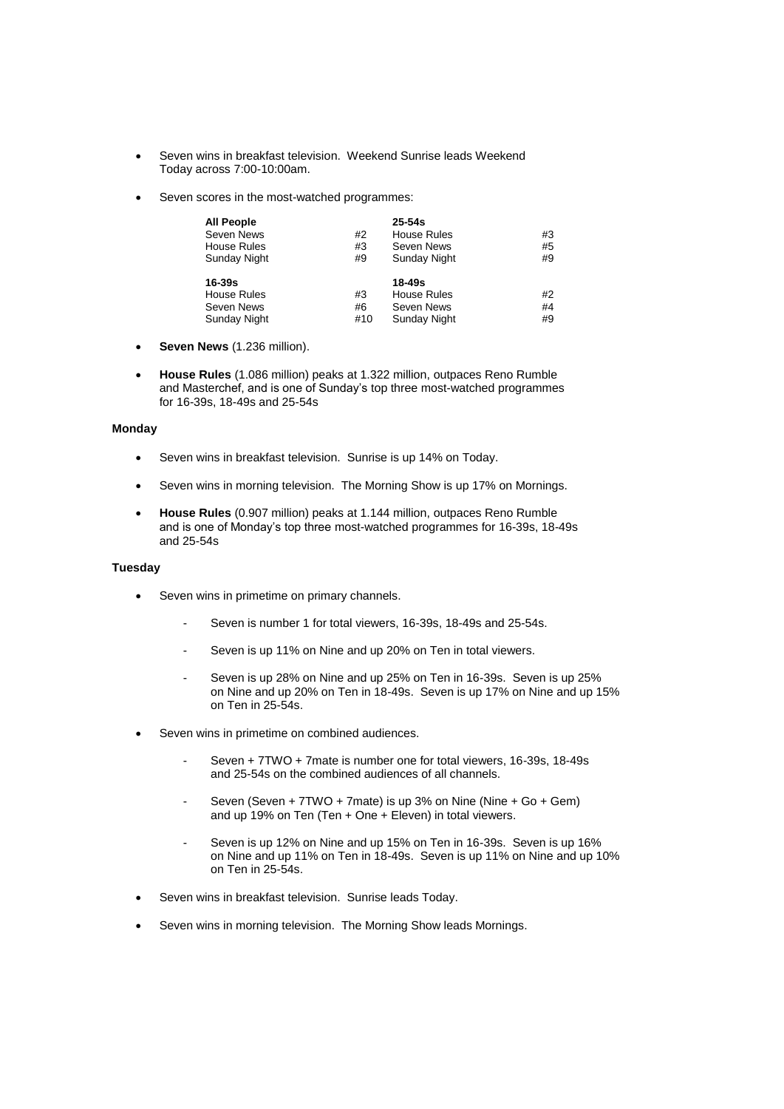- Seven wins in breakfast television. Weekend Sunrise leads Weekend Today across 7:00-10:00am.
- Seven scores in the most-watched programmes:

| <b>All People</b>  |    | $25-54s$     |    |
|--------------------|----|--------------|----|
| Seven News         | #2 | House Rules  | #3 |
| House Rules        | #3 | Seven News   | #5 |
| Sunday Night       | #9 | Sunday Night | #9 |
|                    |    |              |    |
| $16 - 39s$         |    | 18-49s       |    |
|                    |    |              |    |
| <b>House Rules</b> | #3 | House Rules  | #2 |
| Seven News         | #6 | Seven News   | #4 |

- **Seven News** (1.236 million).
- **House Rules** (1.086 million) peaks at 1.322 million, outpaces Reno Rumble and Masterchef, and is one of Sunday's top three most-watched programmes for 16-39s, 18-49s and 25-54s

# **Monday**

- Seven wins in breakfast television. Sunrise is up 14% on Today.
- Seven wins in morning television. The Morning Show is up 17% on Mornings.
- **House Rules** (0.907 million) peaks at 1.144 million, outpaces Reno Rumble and is one of Monday's top three most-watched programmes for 16-39s, 18-49s and 25-54s

# **Tuesday**

- Seven wins in primetime on primary channels.
	- Seven is number 1 for total viewers, 16-39s, 18-49s and 25-54s.
	- Seven is up 11% on Nine and up 20% on Ten in total viewers.
	- Seven is up 28% on Nine and up 25% on Ten in 16-39s. Seven is up 25% on Nine and up 20% on Ten in 18-49s. Seven is up 17% on Nine and up 15% on Ten in 25-54s.
- Seven wins in primetime on combined audiences.
	- Seven + 7TWO + 7mate is number one for total viewers, 16-39s, 18-49s and 25-54s on the combined audiences of all channels.
	- Seven (Seven + 7TWO + 7mate) is up 3% on Nine (Nine + Go + Gem) and up 19% on Ten (Ten  $+$  One  $+$  Eleven) in total viewers.
	- Seven is up 12% on Nine and up 15% on Ten in 16-39s. Seven is up 16% on Nine and up 11% on Ten in 18-49s. Seven is up 11% on Nine and up 10% on Ten in 25-54s.
- Seven wins in breakfast television. Sunrise leads Today.
- Seven wins in morning television. The Morning Show leads Mornings.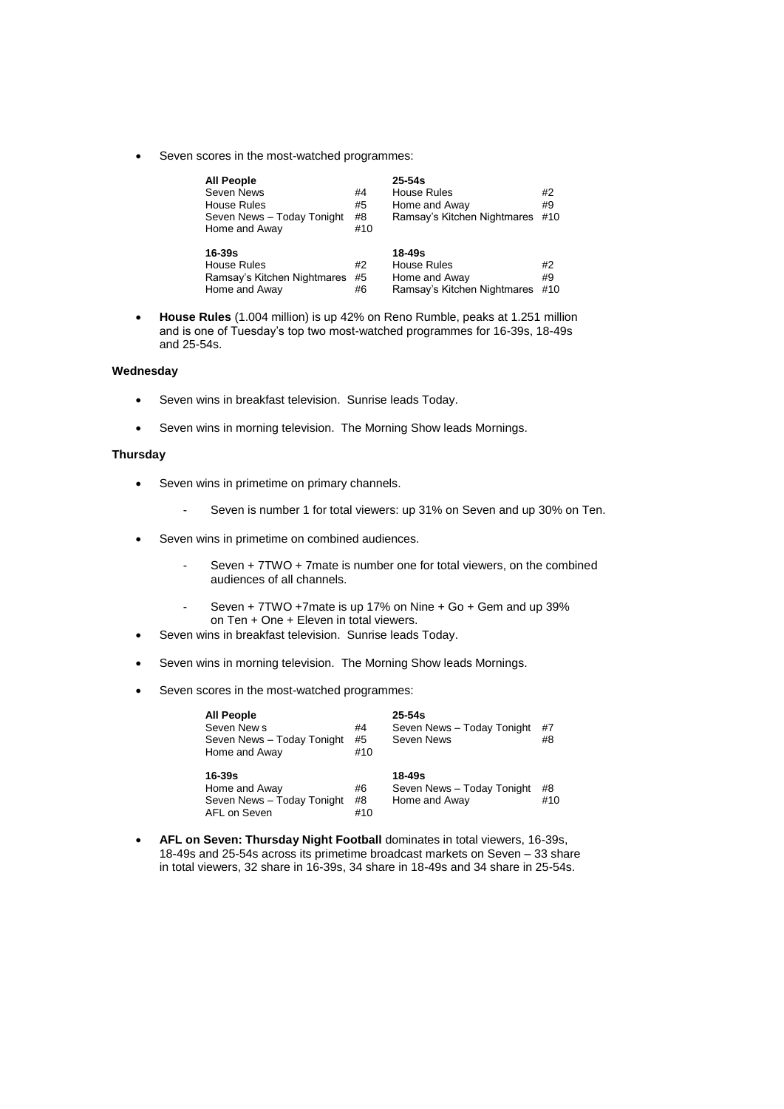Seven scores in the most-watched programmes:

| <b>All People</b><br>Seven News<br><b>House Rules</b><br>Seven News - Today Tonight<br>Home and Away | #4<br>#5<br>#8<br>#10 | $25 - 54s$<br>House Rules<br>Home and Away<br>Ramsay's Kitchen Nightmares | #2<br>#9<br>#10 |
|------------------------------------------------------------------------------------------------------|-----------------------|---------------------------------------------------------------------------|-----------------|
| 16-39s<br>House Rules<br>Ramsay's Kitchen Nightmares<br>Home and Away                                | #2<br>#5<br>#6        | 18-49s<br>House Rules<br>Home and Away<br>Ramsay's Kitchen Nightmares     | #2<br>#9<br>#10 |

 **House Rules** (1.004 million) is up 42% on Reno Rumble, peaks at 1.251 million and is one of Tuesday's top two most-watched programmes for 16-39s, 18-49s and 25-54s.

### **Wednesday**

- Seven wins in breakfast television. Sunrise leads Today.
- Seven wins in morning television. The Morning Show leads Mornings.

## **Thursday**

- Seven wins in primetime on primary channels.
	- Seven is number 1 for total viewers: up 31% on Seven and up 30% on Ten.
- Seven wins in primetime on combined audiences.
	- Seven + 7TWO + 7mate is number one for total viewers, on the combined audiences of all channels.
	- Seven + 7TWO +7mate is up 17% on Nine + Go + Gem and up 39% on Ten + One + Eleven in total viewers.
- Seven wins in breakfast television. Sunrise leads Today.
- Seven wins in morning television. The Morning Show leads Mornings.
- Seven scores in the most-watched programmes:

| <b>All People</b><br>Seven New s<br>Seven News - Today Tonight<br>Home and Away | #4<br>#5<br>#10 | $25 - 54s$<br>Seven News - Today Tonight<br>Seven News | #7<br>#8  |
|---------------------------------------------------------------------------------|-----------------|--------------------------------------------------------|-----------|
| $16 - 39s$<br>Home and Away<br>Seven News - Today Tonight<br>AFL on Seven       | #6<br>#8<br>#10 | 18-49s<br>Seven News - Today Tonight<br>Home and Away  | #8<br>#10 |

 **AFL on Seven: Thursday Night Football** dominates in total viewers, 16-39s, 18-49s and 25-54s across its primetime broadcast markets on Seven – 33 share in total viewers, 32 share in 16-39s, 34 share in 18-49s and 34 share in 25-54s.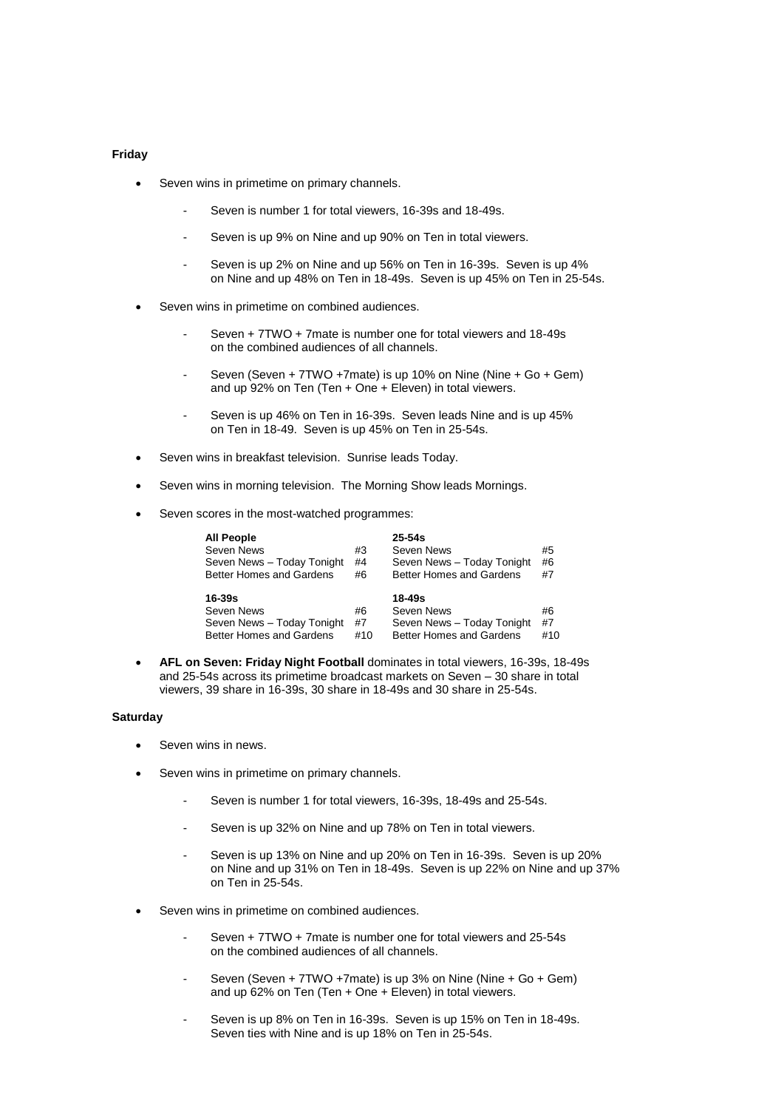#### **Friday**

- Seven wins in primetime on primary channels.
	- Seven is number 1 for total viewers, 16-39s and 18-49s.
	- Seven is up 9% on Nine and up 90% on Ten in total viewers.
	- Seven is up 2% on Nine and up 56% on Ten in 16-39s. Seven is up 4% on Nine and up 48% on Ten in 18-49s. Seven is up 45% on Ten in 25-54s.
- Seven wins in primetime on combined audiences.
	- Seven + 7TWO + 7mate is number one for total viewers and 18-49s on the combined audiences of all channels.
	- Seven (Seven + 7TWO +7mate) is up 10% on Nine (Nine + Go + Gem) and up 92% on Ten (Ten + One + Eleven) in total viewers.
	- Seven is up 46% on Ten in 16-39s. Seven leads Nine and is up 45% on Ten in 18-49. Seven is up 45% on Ten in 25-54s.
- Seven wins in breakfast television. Sunrise leads Today.
- Seven wins in morning television. The Morning Show leads Mornings.
- Seven scores in the most-watched programmes:

| <b>All People</b>               |    | $25 - 54s$                 |    |
|---------------------------------|----|----------------------------|----|
| Seven News                      | #3 | Seven News                 | #5 |
| Seven News - Today Tonight      | #4 | Seven News - Today Tonight | #6 |
| <b>Better Homes and Gardens</b> | #6 | Better Homes and Gardens   | #7 |
|                                 |    |                            |    |
|                                 |    |                            |    |
| 16-39s                          |    | 18-49s                     |    |
| Seven News                      | #6 | Seven News                 | #6 |
| Seven News - Today Tonight      | #7 | Seven News - Today Tonight | #7 |

 **AFL on Seven: Friday Night Football** dominates in total viewers, 16-39s, 18-49s and 25-54s across its primetime broadcast markets on Seven – 30 share in total viewers, 39 share in 16-39s, 30 share in 18-49s and 30 share in 25-54s.

#### **Saturday**

- Seven wins in news.
- Seven wins in primetime on primary channels.
	- Seven is number 1 for total viewers, 16-39s, 18-49s and 25-54s.
	- Seven is up 32% on Nine and up 78% on Ten in total viewers.
	- Seven is up 13% on Nine and up 20% on Ten in 16-39s. Seven is up 20% on Nine and up 31% on Ten in 18-49s. Seven is up 22% on Nine and up 37% on Ten in 25-54s.
- Seven wins in primetime on combined audiences.
	- Seven + 7TWO + 7mate is number one for total viewers and 25-54s on the combined audiences of all channels.
	- Seven (Seven + 7TWO +7mate) is up 3% on Nine (Nine + Go + Gem) and up 62% on Ten (Ten + One + Eleven) in total viewers.
	- Seven is up 8% on Ten in 16-39s. Seven is up 15% on Ten in 18-49s. Seven ties with Nine and is up 18% on Ten in 25-54s.